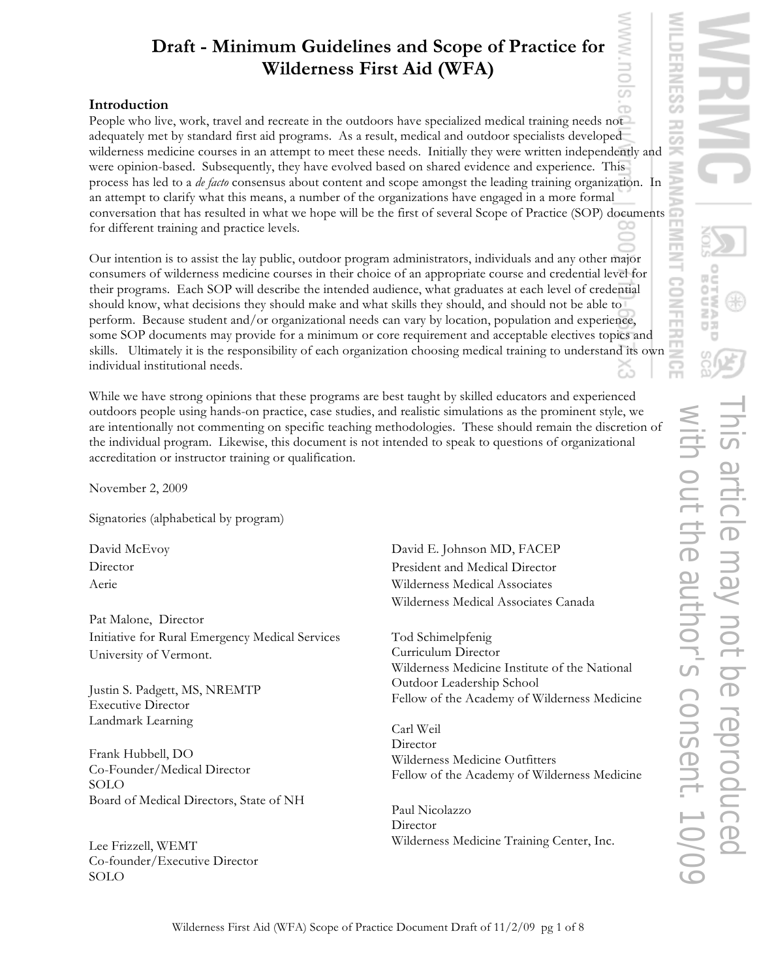## **Introduction**

People who live, work, travel and recreate in the outdoors have specialized medical training needs not adequately met by standard first aid programs. As a result, medical and outdoor specialists developed wilderness medicine courses in an attempt to meet these needs. Initially they were written independently and were opinion-based. Subsequently, they have evolved based on shared evidence and experience. This process has led to a *de facto* consensus about content and scope amongst the leading training organization. In an attempt to clarify what this means, a number of the organizations have engaged in a more formal conversation that has resulted in what we hope will be the first of several Scope of Practice (SOP) documents for different training and practice levels.

Our intention is to assist the lay public, outdoor program administrators, individuals and any other major consumers of wilderness medicine courses in their choice of an appropriate course and credential level for their programs. Each SOP will describe the intended audience, what graduates at each level of credential should know, what decisions they should make and what skills they should, and should not be able to perform. Because student and/or organizational needs can vary by location, population and experience, some SOP documents may provide for a minimum or core requirement and acceptable electives topics and skills. Ultimately it is the responsibility of each organization choosing medical training to understand its own individual institutional needs.

While we have strong opinions that these programs are best taught by skilled educators and experienced outdoors people using hands-on practice, case studies, and realistic simulations as the prominent style, we are intentionally not commenting on specific teaching methodologies. These should remain the discretion of the individual program. Likewise, this document is not intended to speak to questions of organizational accreditation or instructor training or qualification.

November 2, 2009

Signatories (alphabetical by program)

David McEvoy Director Aerie

Pat Malone, Director Initiative for Rural Emergency Medical Services University of Vermont.

Justin S. Padgett, MS, NREMTP Executive Director Landmark Learning

Frank Hubbell, DO Co-Founder/Medical Director SOLO Board of Medical Directors, State of NH

Lee Frizzell, WEMT Co-founder/Executive Director SOLO

David E. Johnson MD, FACEP President and Medical Director Wilderness Medical Associates Wilderness Medical Associates Canada

Tod Schimelpfenig Curriculum Director Wilderness Medicine Institute of the National Outdoor Leadership School Fellow of the Academy of Wilderness Medicine

Carl Weil Director Wilderness Medicine Outfitters Fellow of the Academy of Wilderness Medicine

Paul Nicolazzo Director Wilderness Medicine Training Center, Inc.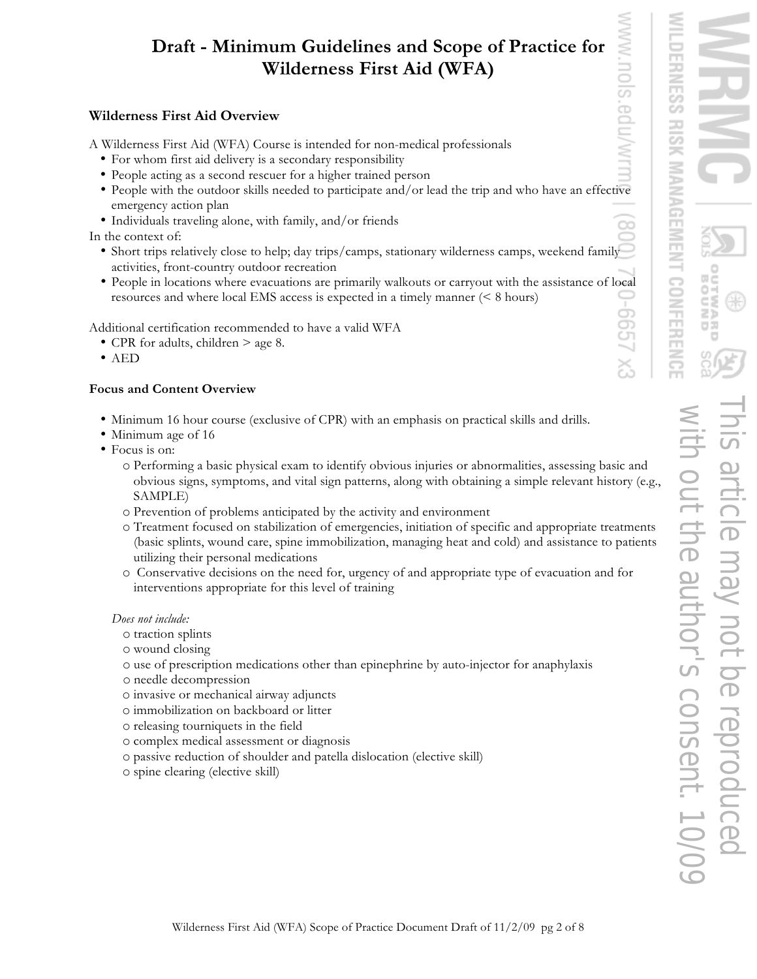## **Wilderness First Aid Overview**

A Wilderness First Aid (WFA) Course is intended for non-medical professionals

- For whom first aid delivery is a secondary responsibility
- People acting as a second rescuer for a higher trained person
- People with the outdoor skills needed to participate and/or lead the trip and who have an effective emergency action plan
- Individuals traveling alone, with family, and/or friends

In the context of:

- Short trips relatively close to help; day trips/camps, stationary wilderness camps, weekend family activities, front-country outdoor recreation
- People in locations where evacuations are primarily walkouts or carryout with the assistance of local resources and where local EMS access is expected in a timely manner (< 8 hours)

Additional certification recommended to have a valid WFA

- CPR for adults, children > age 8.
- AED

## **Focus and Content Overview**

- Minimum 16 hour course (exclusive of CPR) with an emphasis on practical skills and drills.
- Minimum age of 16
- Focus is on:
	- o Performing a basic physical exam to identify obvious injuries or abnormalities, assessing basic and obvious signs, symptoms, and vital sign patterns, along with obtaining a simple relevant history (e.g., SAMPLE)
	- o Prevention of problems anticipated by the activity and environment
	- o Treatment focused on stabilization of emergencies, initiation of specific and appropriate treatments (basic splints, wound care, spine immobilization, managing heat and cold) and assistance to patients utilizing their personal medications
	- o Conservative decisions on the need for, urgency of and appropriate type of evacuation and for interventions appropriate for this level of training

*Does not include:*

- o traction splints
- o wound closing
- o use of prescription medications other than epinephrine by auto-injector for anaphylaxis
- o needle decompression
- o invasive or mechanical airway adjuncts
- o immobilization on backboard or litter
- o releasing tourniquets in the field
- o complex medical assessment or diagnosis
- o passive reduction of shoulder and patella dislocation (elective skill)
- o spine clearing (elective skill)

ò

œ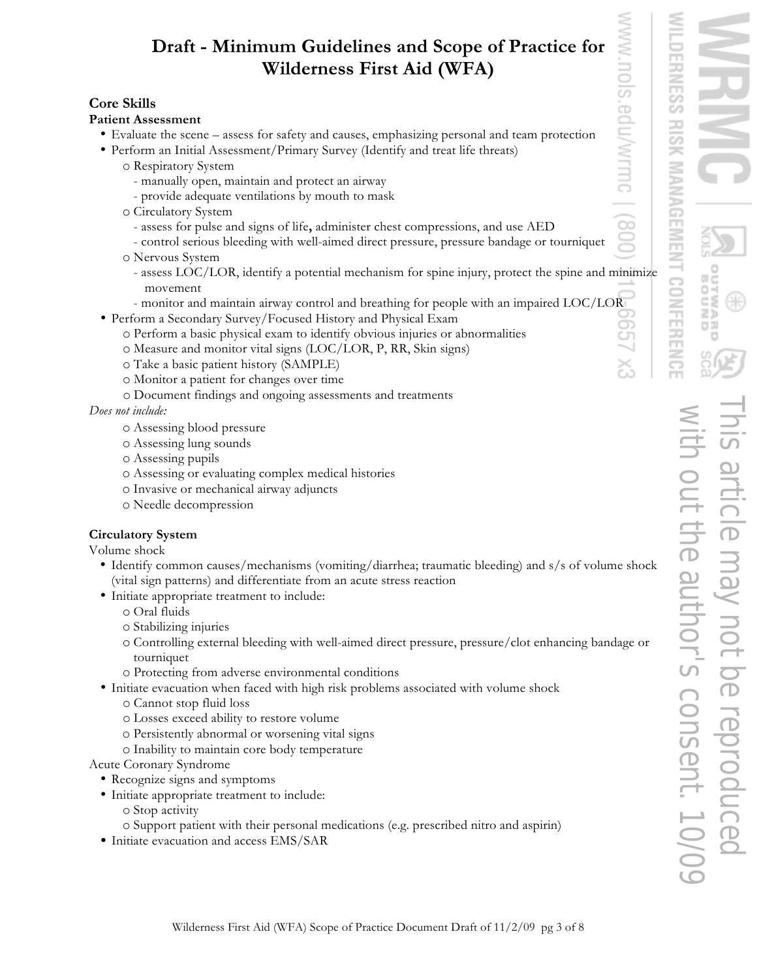## **Core Skills**

#### **Patient Assessment**

- Evaluate the scene assess for safety and causes, emphasizing personal and team protection
- Perform an Initial Assessment/Primary Survey (Identify and treat life threats)
	- o Respiratory System
		- manually open, maintain and protect an airway
		- provide adequate ventilations by mouth to mask
	- o Circulatory System
		- assess for pulse and signs of life**,** administer chest compressions, and use AED
		- control serious bleeding with well-aimed direct pressure, pressure bandage or tourniquet
	- o Nervous System
		- assess LOC/LOR, identify a potential mechanism for spine injury, protect the spine and minimize movement
	- monitor and maintain airway control and breathing for people with an impaired LOC/LOR
- Perform a Secondary Survey/Focused History and Physical Exam
	- o Perform a basic physical exam to identify obvious injuries or abnormalities
	- o Measure and monitor vital signs (LOC/LOR, P, RR, Skin signs)
	- o Take a basic patient history (SAMPLE)
	- o Monitor a patient for changes over time
	- o Document findings and ongoing assessments and treatments

*Does not include:* 

- o Assessing blood pressure
- o Assessing lung sounds
- o Assessing pupils
- o Assessing or evaluating complex medical histories
- o Invasive or mechanical airway adjuncts
- o Needle decompression

## **Circulatory System**

Volume shock

- Identify common causes/mechanisms (vomiting/diarrhea; traumatic bleeding) and s/s of volume shock (vital sign patterns) and differentiate from an acute stress reaction
- Initiate appropriate treatment to include:
	- o Oral fluids
	- o Stabilizing injuries
	- o Controlling external bleeding with well-aimed direct pressure, pressure/clot enhancing bandage or tourniquet
	- o Protecting from adverse environmental conditions
- Initiate evacuation when faced with high risk problems associated with volume shock
	- o Cannot stop fluid loss
	- o Losses exceed ability to restore volume
	- o Persistently abnormal or worsening vital signs
	- o Inability to maintain core body temperature

Acute Coronary Syndrome

- Recognize signs and symptoms
- Initiate appropriate treatment to include:
	- o Stop activity
	- o Support patient with their personal medications (e.g. prescribed nitro and aspirin)
- Initiate evacuation and access EMS/SAR

.<br>O  $\supset$ 

**WITNC** 

 $90^{\circ}$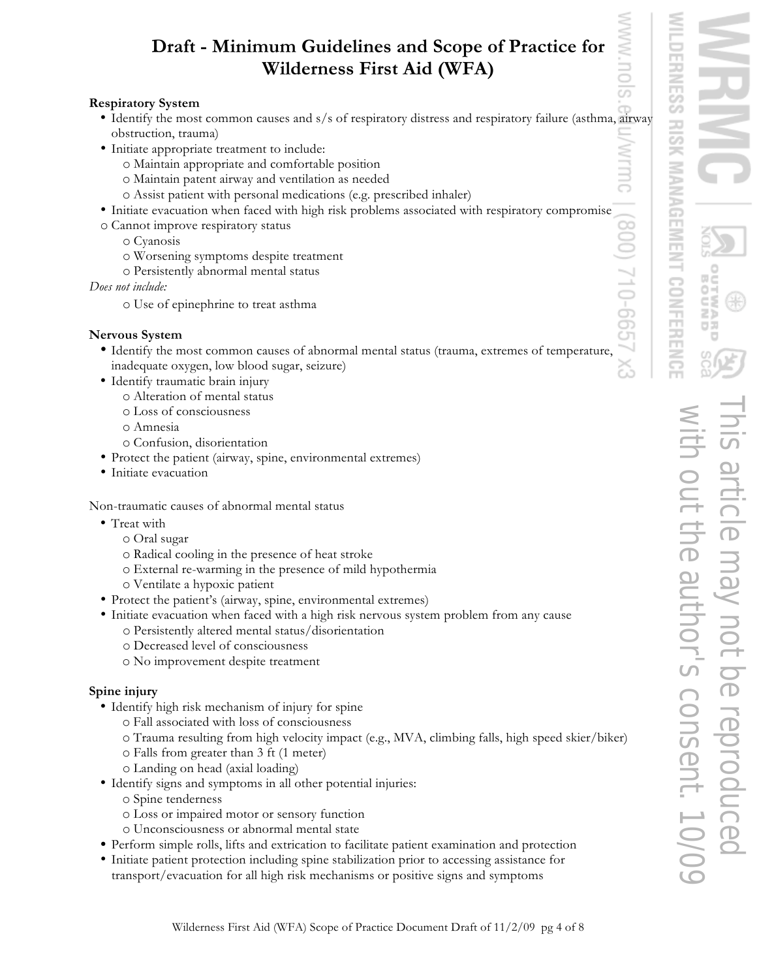## **Respiratory System**

- Identify the most common causes and s/s of respiratory distress and respiratory failure (asthma, airway obstruction, trauma)
- Initiate appropriate treatment to include:
	- o Maintain appropriate and comfortable position
	- o Maintain patent airway and ventilation as needed
	- o Assist patient with personal medications (e.g. prescribed inhaler)
- Initiate evacuation when faced with high risk problems associated with respiratory compromise
- o Cannot improve respiratory status
	- o Cyanosis
	- o Worsening symptoms despite treatment
	- o Persistently abnormal mental status

#### *Does not include:*

o Use of epinephrine to treat asthma

## **Nervous System**

- Identify the most common causes of abnormal mental status (trauma, extremes of temperature, inadequate oxygen, low blood sugar, seizure)
- Identify traumatic brain injury
	- o Alteration of mental status
	- o Loss of consciousness
	- o Amnesia
	- o Confusion, disorientation
- Protect the patient (airway, spine, environmental extremes)
- Initiate evacuation

Non-traumatic causes of abnormal mental status

- Treat with
	- o Oral sugar
	- o Radical cooling in the presence of heat stroke
	- o External re-warming in the presence of mild hypothermia
	- o Ventilate a hypoxic patient
- Protect the patient's (airway, spine, environmental extremes)
- Initiate evacuation when faced with a high risk nervous system problem from any cause
	- o Persistently altered mental status/disorientation
	- o Decreased level of consciousness
	- o No improvement despite treatment

## **Spine injury**

- Identify high risk mechanism of injury for spine
	- o Fall associated with loss of consciousness
	- o Trauma resulting from high velocity impact (e.g., MVA, climbing falls, high speed skier/biker)
	- o Falls from greater than 3 ft (1 meter)
	- o Landing on head (axial loading)
- Identify signs and symptoms in all other potential injuries:
	- o Spine tenderness
	- o Loss or impaired motor or sensory function
	- o Unconsciousness or abnormal mental state
- Perform simple rolls, lifts and extrication to facilitate patient examination and protection
- Initiate patient protection including spine stabilization prior to accessing assistance for transport/evacuation for all high risk mechanisms or positive signs and symptoms

**MANAGEM** NFERENCE with out the author's consent. 10/09This article may not be reproduced **author's consent** 

**RISK** 

NTMC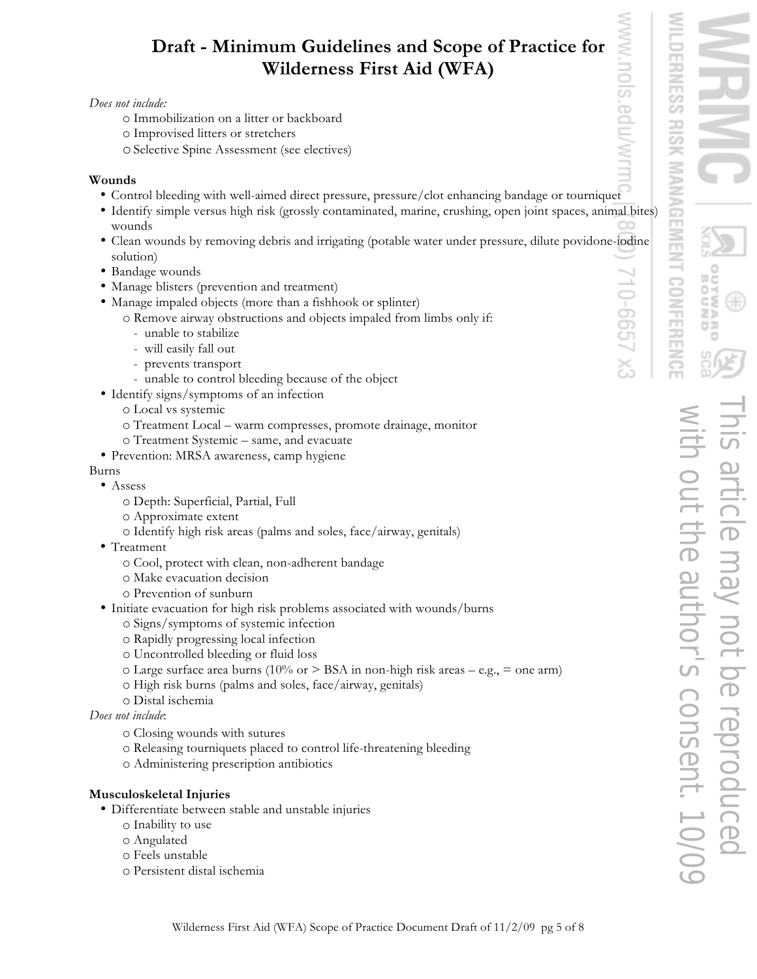#### *Does not include:*

- o Immobilization on a litter or backboard
- o Improvised litters or stretchers
- oSelective Spine Assessment (see electives)

#### **Wounds**

- Control bleeding with well-aimed direct pressure, pressure/clot enhancing bandage or tourniquet
- Identify simple versus high risk (grossly contaminated, marine, crushing, open joint spaces, animal bites) wounds
- Clean wounds by removing debris and irrigating (potable water under pressure, dilute povidone-iodine solution)
- Bandage wounds
- Manage blisters (prevention and treatment)
- Manage impaled objects (more than a fishhook or splinter)
	- o Remove airway obstructions and objects impaled from limbs only if:
		- unable to stabilize
		- will easily fall out
		- prevents transport
		- unable to control bleeding because of the object
- Identify signs/symptoms of an infection
	- o Local vs systemic
	- o Treatment Local warm compresses, promote drainage, monitor
	- o Treatment Systemic same, and evacuate
- Prevention: MRSA awareness, camp hygiene

#### Burns

- Assess
	- o Depth: Superficial, Partial, Full
	- o Approximate extent
	- o Identify high risk areas (palms and soles, face/airway, genitals)
- Treatment
	- o Cool, protect with clean, non-adherent bandage
	- o Make evacuation decision
	- o Prevention of sunburn
- Initiate evacuation for high risk problems associated with wounds/burns o Signs/symptoms of systemic infection
	- o Rapidly progressing local infection
	- o Uncontrolled bleeding or fluid loss
	- $\circ$  Large surface area burns (10% or > BSA in non-high risk areas e.g., = one arm)
	- o High risk burns (palms and soles, face/airway, genitals)
	- o Distal ischemia
- *Does not include*:
	- o Closing wounds with sutures
	- o Releasing tourniquets placed to control life-threatening bleeding
	- o Administering prescription antibiotics

#### **Musculoskeletal Injuries**

- Differentiate between stable and unstable injuries
	- o Inability to use
	- o Angulated
	- o Feels unstable
	- o Persistent distal ischemia

 $999 - 01.$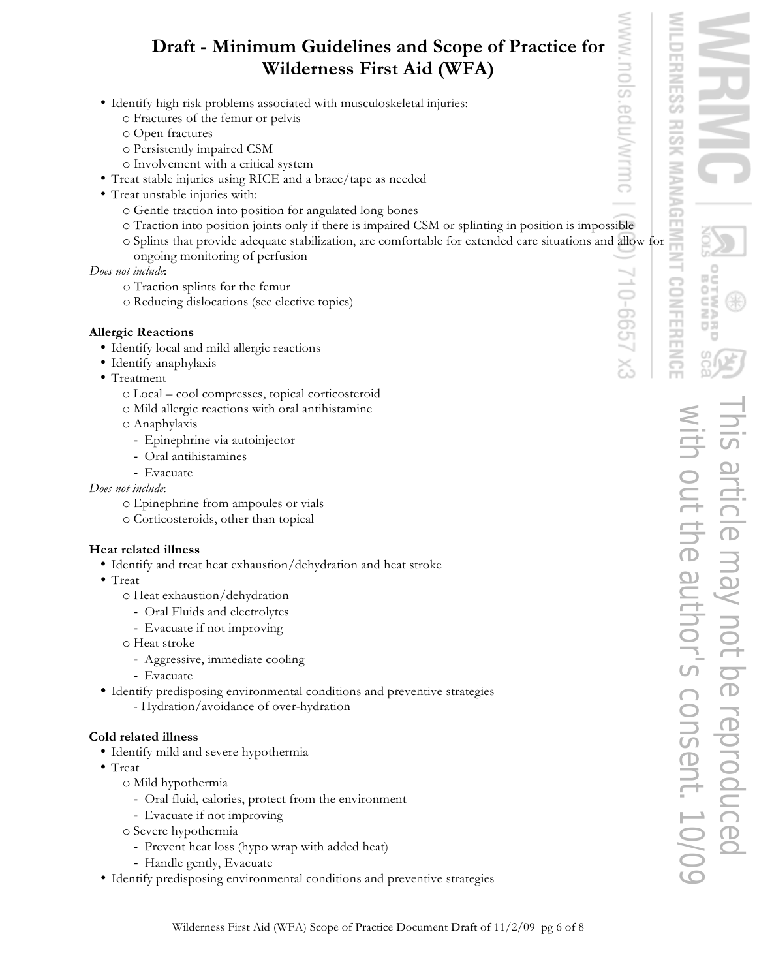- Identify high risk problems associated with musculoskeletal injuries:
	- o Fractures of the femur or pelvis
	- o Open fractures
	- o Persistently impaired CSM
	- o Involvement with a critical system
- Treat stable injuries using RICE and a brace/tape as needed
- Treat unstable injuries with:
	- o Gentle traction into position for angulated long bones
	- o Traction into position joints only if there is impaired CSM or splinting in position is impossible
	- o Splints that provide adequate stabilization, are comfortable for extended care situations and allow for ongoing monitoring of perfusion

#### *Does not include*:

- o Traction splints for the femur
- o Reducing dislocations (see elective topics)

#### **Allergic Reactions**

- Identify local and mild allergic reactions
- Identify anaphylaxis
- Treatment
	- o Local cool compresses, topical corticosteroid
	- o Mild allergic reactions with oral antihistamine
	- o Anaphylaxis
		- Epinephrine via autoinjector
		- Oral antihistamines
		- Evacuate

*Does not include*:

- o Epinephrine from ampoules or vials
- o Corticosteroids, other than topical

#### **Heat related illness**

- Identify and treat heat exhaustion/dehydration and heat stroke
- Treat
	- o Heat exhaustion/dehydration
		- Oral Fluids and electrolytes
		- Evacuate if not improving
	- o Heat stroke
		- Aggressive, immediate cooling
	- Evacuate
- Identify predisposing environmental conditions and preventive strategies
	- Hydration/avoidance of over-hydration

#### **Cold related illness**

- Identify mild and severe hypothermia
- Treat
	- o Mild hypothermia
		- Oral fluid, calories, protect from the environment
		- Evacuate if not improving
	- o Severe hypothermia
		- Prevent heat loss (hypo wrap with added heat)
		- Handle gently, Evacuate
- Identify predisposing environmental conditions and preventive strategies

 $\overline{5}$ 

cedulwrmoc

 $599 - 01$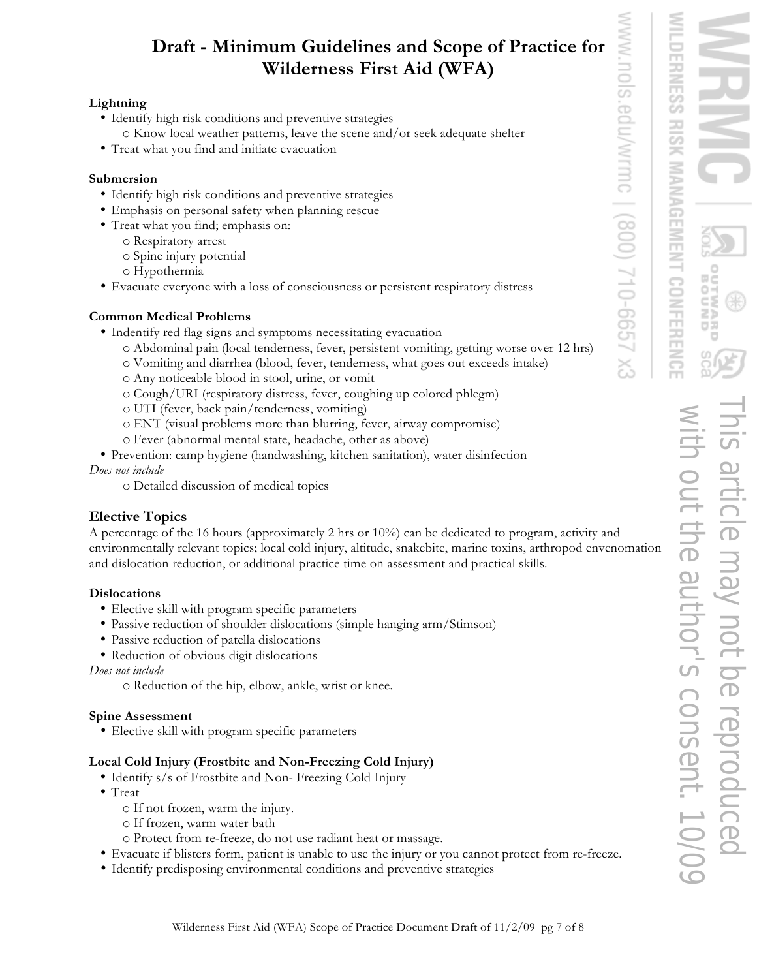## **Lightning**

- Identify high risk conditions and preventive strategies o Know local weather patterns, leave the scene and/or seek adequate shelter
- Treat what you find and initiate evacuation

## **Submersion**

- Identify high risk conditions and preventive strategies
- Emphasis on personal safety when planning rescue
- Treat what you find; emphasis on:
	- o Respiratory arrest
		- o Spine injury potential
		- o Hypothermia
- Evacuate everyone with a loss of consciousness or persistent respiratory distress

## **Common Medical Problems**

- Indentify red flag signs and symptoms necessitating evacuation
	- o Abdominal pain (local tenderness, fever, persistent vomiting, getting worse over 12 hrs)
	- o Vomiting and diarrhea (blood, fever, tenderness, what goes out exceeds intake)
	- o Any noticeable blood in stool, urine, or vomit
	- o Cough/URI (respiratory distress, fever, coughing up colored phlegm)
	- o UTI (fever, back pain/tenderness, vomiting)
	- o ENT (visual problems more than blurring, fever, airway compromise)
	- o Fever (abnormal mental state, headache, other as above)
- Prevention: camp hygiene (handwashing, kitchen sanitation), water disinfection *Does not include* 
	- o Detailed discussion of medical topics

## **Elective Topics**

A percentage of the 16 hours (approximately 2 hrs or 10%) can be dedicated to program, activity and environmentally relevant topics; local cold injury, altitude, snakebite, marine toxins, arthropod envenomation and dislocation reduction, or additional practice time on assessment and practical skills.

## **Dislocations**

- Elective skill with program specific parameters
- Passive reduction of shoulder dislocations (simple hanging arm/Stimson)
- Passive reduction of patella dislocations
- Reduction of obvious digit dislocations

#### *Does not include*

o Reduction of the hip, elbow, ankle, wrist or knee.

## **Spine Assessment**

• Elective skill with program specific parameters

## **Local Cold Injury (Frostbite and Non-Freezing Cold Injury)**

- Identify s/s of Frostbite and Non- Freezing Cold Injury
- Treat
	- o If not frozen, warm the injury.
	- o If frozen, warm water bath
	- o Protect from re-freeze, do not use radiant heat or massage.
- Evacuate if blisters form, patient is unable to use the injury or you cannot protect from re-freeze.
- Identify predisposing environmental conditions and preventive strategies

UOIS.

edu/wrmc

/900) 710-6657